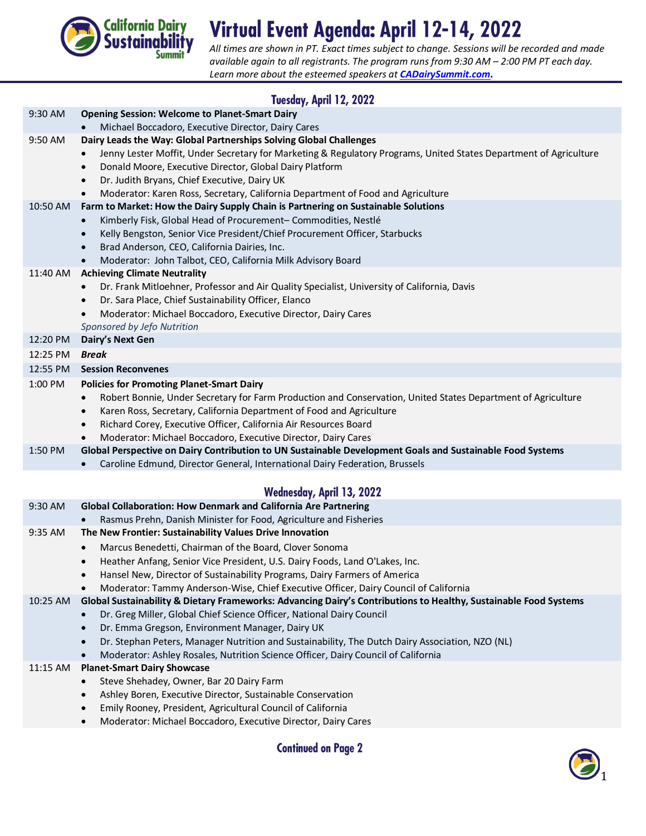

## Virtual Event Agenda: April 12-14, 2022

*All times are shown in PT. Exact times subject to change. Sessions will be recorded and made available again to all registrants. The program runs from 9:30 AM – 2:00 PM PT each day. Learn more about the esteemed speakers at [CADairySummit.com.](http://www.cadairysummit.com/)*

| Tuesday, April 12, 2022 |                                                                                                                                                                                         |  |
|-------------------------|-----------------------------------------------------------------------------------------------------------------------------------------------------------------------------------------|--|
| 9:30 AM                 | <b>Opening Session: Welcome to Planet-Smart Dairy</b>                                                                                                                                   |  |
|                         | Michael Boccadoro, Executive Director, Dairy Cares                                                                                                                                      |  |
| 9:50 AM                 | Dairy Leads the Way: Global Partnerships Solving Global Challenges<br>Jenny Lester Moffit, Under Secretary for Marketing & Regulatory Programs, United States Department of Agriculture |  |
|                         | Donald Moore, Executive Director, Global Dairy Platform<br>$\bullet$                                                                                                                    |  |
|                         | Dr. Judith Bryans, Chief Executive, Dairy UK<br>$\bullet$                                                                                                                               |  |
|                         | Moderator: Karen Ross, Secretary, California Department of Food and Agriculture<br>$\bullet$                                                                                            |  |
| 10:50 AM                | Farm to Market: How the Dairy Supply Chain is Partnering on Sustainable Solutions                                                                                                       |  |
|                         | Kimberly Fisk, Global Head of Procurement- Commodities, Nestlé<br>$\bullet$                                                                                                             |  |
|                         | Kelly Bengston, Senior Vice President/Chief Procurement Officer, Starbucks<br>$\bullet$                                                                                                 |  |
|                         | Brad Anderson, CEO, California Dairies, Inc.<br>$\bullet$                                                                                                                               |  |
|                         | Moderator: John Talbot, CEO, California Milk Advisory Board<br>$\bullet$                                                                                                                |  |
| 11:40 AM                | <b>Achieving Climate Neutrality</b><br>Dr. Frank Mitloehner, Professor and Air Quality Specialist, University of California, Davis                                                      |  |
|                         | Dr. Sara Place, Chief Sustainability Officer, Elanco<br>$\bullet$                                                                                                                       |  |
|                         | Moderator: Michael Boccadoro, Executive Director, Dairy Cares<br>$\bullet$                                                                                                              |  |
|                         | Sponsored by Jefo Nutrition                                                                                                                                                             |  |
| 12:20 PM                | Dairy's Next Gen                                                                                                                                                                        |  |
| 12:25 PM                | Break                                                                                                                                                                                   |  |
| 12:55 PM                | <b>Session Reconvenes</b>                                                                                                                                                               |  |
| 1:00 PM                 | <b>Policies for Promoting Planet-Smart Dairy</b>                                                                                                                                        |  |
|                         | Robert Bonnie, Under Secretary for Farm Production and Conservation, United States Department of Agriculture<br>$\bullet$                                                               |  |
|                         | Karen Ross, Secretary, California Department of Food and Agriculture<br>$\bullet$                                                                                                       |  |
|                         | Richard Corey, Executive Officer, California Air Resources Board<br>$\bullet$<br>Moderator: Michael Boccadoro, Executive Director, Dairy Cares                                          |  |
| 1:50 PM                 | Global Perspective on Dairy Contribution to UN Sustainable Development Goals and Sustainable Food Systems                                                                               |  |
|                         | Caroline Edmund, Director General, International Dairy Federation, Brussels                                                                                                             |  |
|                         |                                                                                                                                                                                         |  |
|                         | <b>Wednesday, April 13, 2022</b>                                                                                                                                                        |  |
| 9:30 AM                 | Global Collaboration: How Denmark and California Are Partnering                                                                                                                         |  |
|                         | Rasmus Prehn, Danish Minister for Food, Agriculture and Fisheries                                                                                                                       |  |
| 9:35 AM                 | The New Frontier: Sustainability Values Drive Innovation                                                                                                                                |  |
|                         | Marcus Benedetti, Chairman of the Board, Clover Sonoma<br>$\bullet$                                                                                                                     |  |
|                         | Heather Anfang, Senior Vice President, U.S. Dairy Foods, Land O'Lakes, Inc.<br>Hansel New, Director of Sustainability Programs, Dairy Farmers of America                                |  |
|                         | $\bullet$<br>Moderator: Tammy Anderson-Wise, Chief Executive Officer, Dairy Council of California<br>$\bullet$                                                                          |  |
| 10:25 AM                | Global Sustainability & Dietary Frameworks: Advancing Dairy's Contributions to Healthy, Sustainable Food Systems                                                                        |  |
|                         | Dr. Greg Miller, Global Chief Science Officer, National Dairy Council<br>$\bullet$                                                                                                      |  |
|                         | Dr. Emma Gregson, Environment Manager, Dairy UK<br>$\bullet$                                                                                                                            |  |
|                         | Dr. Stephan Peters, Manager Nutrition and Sustainability, The Dutch Dairy Association, NZO (NL)<br>$\bullet$                                                                            |  |
|                         | Moderator: Ashley Rosales, Nutrition Science Officer, Dairy Council of California                                                                                                       |  |
| 11:15 AM                | <b>Planet-Smart Dairy Showcase</b>                                                                                                                                                      |  |
|                         | Steve Shehadey, Owner, Bar 20 Dairy Farm                                                                                                                                                |  |
|                         | Ashley Boren, Executive Director, Sustainable Conservation<br>$\bullet$                                                                                                                 |  |
|                         | Emily Rooney, President, Agricultural Council of California<br>$\bullet$                                                                                                                |  |
|                         | Moderator: Michael Boccadoro, Executive Director, Dairy Cares<br>$\bullet$                                                                                                              |  |

**Continued on Page 2**